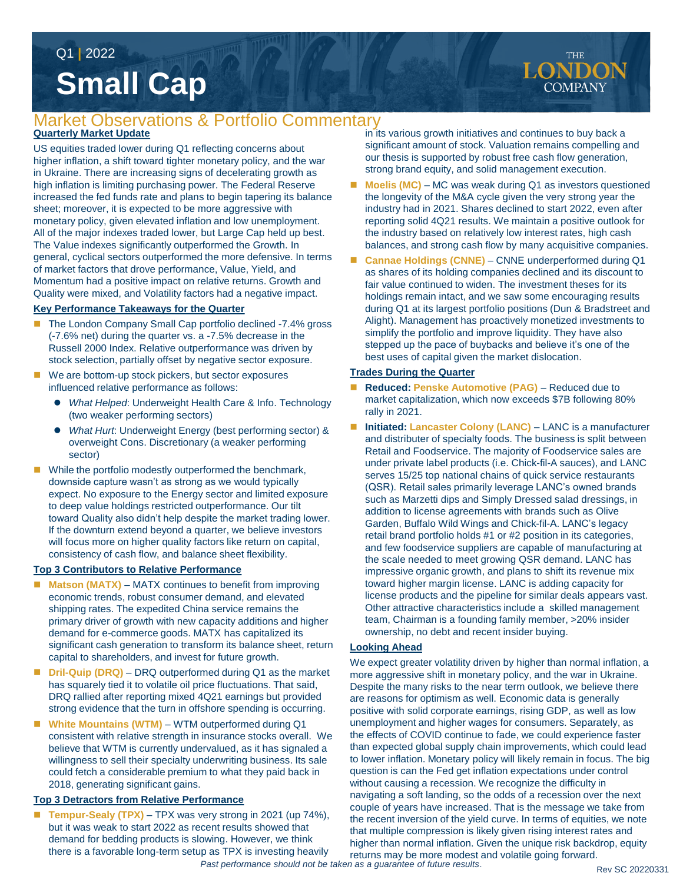# **Small Cap** Q1 **|** 2022

## **Quarterly Market Update** Market Observations & Portfolio Commentary

US equities traded lower during Q1 reflecting concerns about higher inflation, a shift toward tighter monetary policy, and the war in Ukraine. There are increasing signs of decelerating growth as high inflation is limiting purchasing power. The Federal Reserve increased the fed funds rate and plans to begin tapering its balance sheet; moreover, it is expected to be more aggressive with monetary policy, given elevated inflation and low unemployment. All of the major indexes traded lower, but Large Cap held up best. The Value indexes significantly outperformed the Growth. In general, cyclical sectors outperformed the more defensive. In terms of market factors that drove performance, Value, Yield, and Momentum had a positive impact on relative returns. Growth and Quality were mixed, and Volatility factors had a negative impact.

### **Key Performance Takeaways for the Quarter**

- The London Company Small Cap portfolio declined -7.4% gross (-7.6% net) during the quarter vs. a -7.5% decrease in the Russell 2000 Index. Relative outperformance was driven by stock selection, partially offset by negative sector exposure.
- We are bottom-up stock pickers, but sector exposures influenced relative performance as follows:
	- *What Helped*: Underweight Health Care & Info. Technology (two weaker performing sectors)
	- *What Hurt*: Underweight Energy (best performing sector) & overweight Cons. Discretionary (a weaker performing sector)
- While the portfolio modestly outperformed the benchmark, downside capture wasn't as strong as we would typically expect. No exposure to the Energy sector and limited exposure to deep value holdings restricted outperformance. Our tilt toward Quality also didn't help despite the market trading lower. If the downturn extend beyond a quarter, we believe investors will focus more on higher quality factors like return on capital, consistency of cash flow, and balance sheet flexibility.

### **Top 3 Contributors to Relative Performance**

- **Matson (MATX)** MATX continues to benefit from improving economic trends, robust consumer demand, and elevated shipping rates. The expedited China service remains the primary driver of growth with new capacity additions and higher demand for e-commerce goods. MATX has capitalized its significant cash generation to transform its balance sheet, return capital to shareholders, and invest for future growth.
- **Dril-Quip (DRQ)** DRQ outperformed during Q1 as the market has squarely tied it to volatile oil price fluctuations. That said, DRQ rallied after reporting mixed 4Q21 earnings but provided strong evidence that the turn in offshore spending is occurring.
- White Mountains (WTM) WTM outperformed during Q1 consistent with relative strength in insurance stocks overall. We believe that WTM is currently undervalued, as it has signaled a willingness to sell their specialty underwriting business. Its sale could fetch a considerable premium to what they paid back in 2018, generating significant gains.

### **Top 3 Detractors from Relative Performance**

 **Tempur-Sealy (TPX)** – TPX was very strong in 2021 (up 74%), but it was weak to start 2022 as recent results showed that demand for bedding products is slowing. However, we think there is a favorable long-term setup as TPX is investing heavily

in its various growth initiatives and continues to buy back a significant amount of stock. Valuation remains compelling and our thesis is supported by robust free cash flow generation, strong brand equity, and solid management execution.

- **Moelis (MC)** MC was weak during Q1 as investors questioned the longevity of the M&A cycle given the very strong year the industry had in 2021. Shares declined to start 2022, even after reporting solid 4Q21 results. We maintain a positive outlook for the industry based on relatively low interest rates, high cash balances, and strong cash flow by many acquisitive companies.
- Cannae Holdings (CNNE) CNNE underperformed during Q1 as shares of its holding companies declined and its discount to fair value continued to widen. The investment theses for its holdings remain intact, and we saw some encouraging results during Q1 at its largest portfolio positions (Dun & Bradstreet and Alight). Management has proactively monetized investments to simplify the portfolio and improve liquidity. They have also stepped up the pace of buybacks and believe it's one of the best uses of capital given the market dislocation.

### **Trades During the Quarter**

- **Reduced: Penske Automotive (PAG)**  Reduced due to market capitalization, which now exceeds \$7B following 80% rally in 2021.
- **Initiated: Lancaster Colony (LANC)** LANC is a manufacturer and distributer of specialty foods. The business is split between Retail and Foodservice. The majority of Foodservice sales are under private label products (i.e. Chick-fil-A sauces), and LANC serves 15/25 top national chains of quick service restaurants (QSR). Retail sales primarily leverage LANC's owned brands such as Marzetti dips and Simply Dressed salad dressings, in addition to license agreements with brands such as Olive Garden, Buffalo Wild Wings and Chick-fil-A. LANC's legacy retail brand portfolio holds #1 or #2 position in its categories, and few foodservice suppliers are capable of manufacturing at the scale needed to meet growing QSR demand. LANC has impressive organic growth, and plans to shift its revenue mix toward higher margin license. LANC is adding capacity for license products and the pipeline for similar deals appears vast. Other attractive characteristics include a skilled management team, Chairman is a founding family member, >20% insider ownership, no debt and recent insider buying.

### **Looking Ahead**

We expect greater volatility driven by higher than normal inflation, a more aggressive shift in monetary policy, and the war in Ukraine. Despite the many risks to the near term outlook, we believe there are reasons for optimism as well. Economic data is generally positive with solid corporate earnings, rising GDP, as well as low unemployment and higher wages for consumers. Separately, as the effects of COVID continue to fade, we could experience faster than expected global supply chain improvements, which could lead to lower inflation. Monetary policy will likely remain in focus. The big question is can the Fed get inflation expectations under control without causing a recession. We recognize the difficulty in navigating a soft landing, so the odds of a recession over the next couple of years have increased. That is the message we take from the recent inversion of the yield curve. In terms of equities, we note that multiple compression is likely given rising interest rates and higher than normal inflation. Given the unique risk backdrop, equity returns may be more modest and volatile going forward.